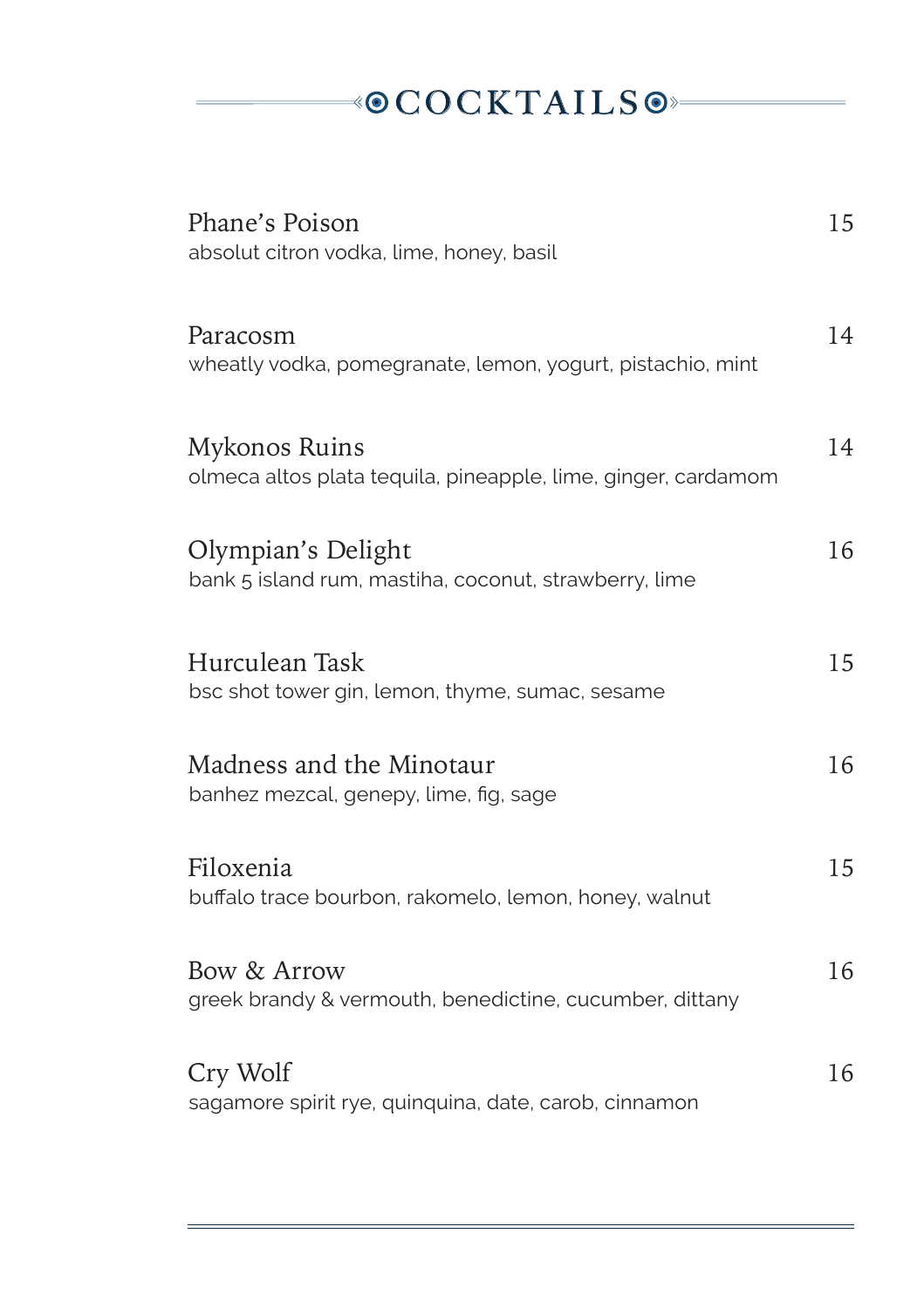#### $\rightarrow$ ©COCKTAILS  $\odot$

| Phane's Poison<br>absolut citron vodka, lime, honey, basil                     | 15 |
|--------------------------------------------------------------------------------|----|
| Paracosm<br>wheatly vodka, pomegranate, lemon, yogurt, pistachio, mint         | 14 |
| Mykonos Ruins<br>olmeca altos plata tequila, pineapple, lime, ginger, cardamom | 14 |
| Olympian's Delight<br>bank 5 island rum, mastiha, coconut, strawberry, lime    | 16 |
| Hurculean Task<br>bsc shot tower gin, lemon, thyme, sumac, sesame              | 15 |
| Madness and the Minotaur<br>banhez mezcal, genepy, lime, fig, sage             | 16 |
| Filoxenia<br>buffalo trace bourbon, rakomelo, lemon, honey, walnut             | 15 |
| Bow & Arrow<br>greek brandy & vermouth, benedictine, cucumber, dittany         | 16 |
| Cry Wolf<br>sagamore spirit rye, quinquina, date, carob, cinnamon              | 16 |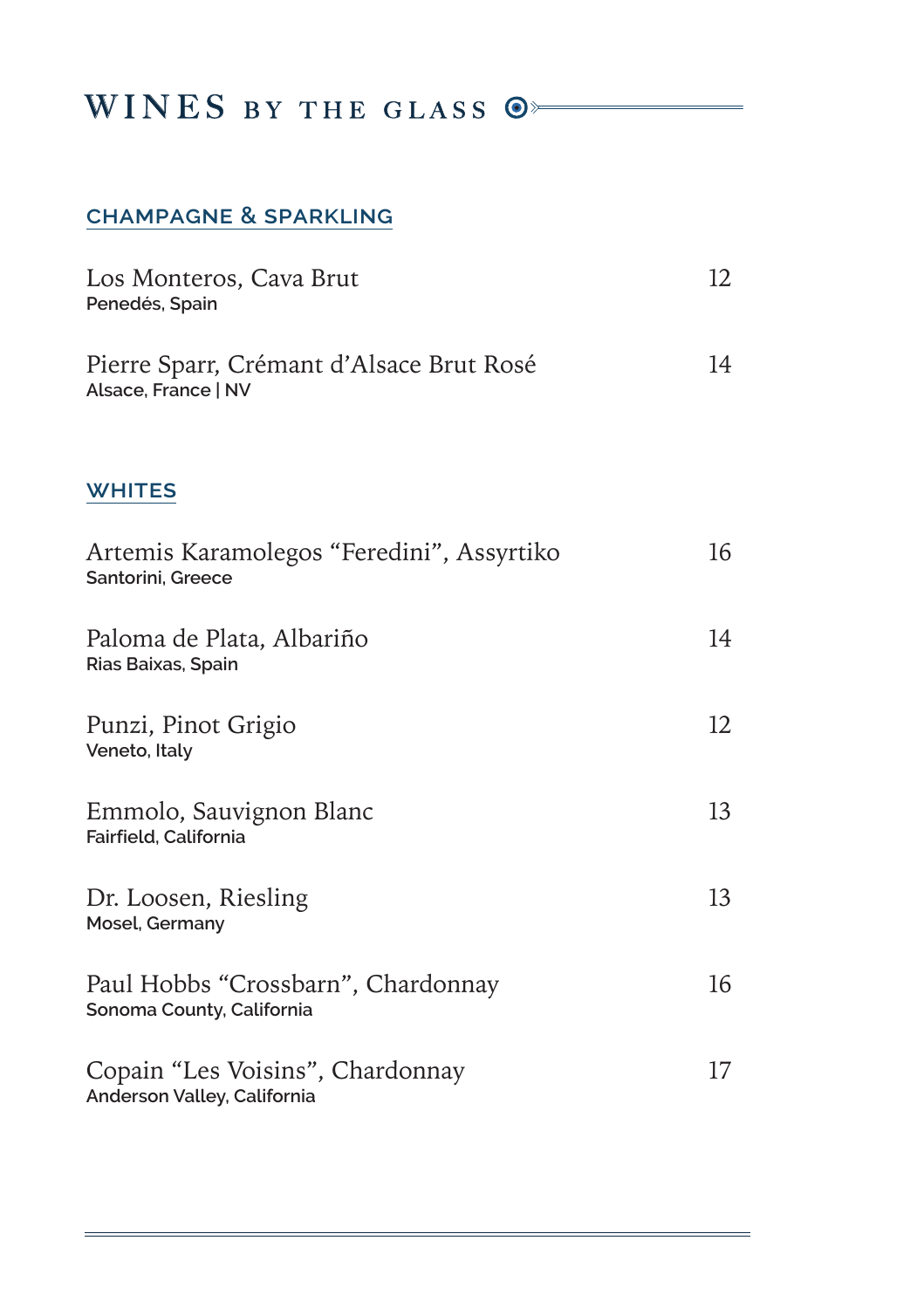#### WINES BY THE GLASS  $\circledcirc$

#### **champagne & sparkling**

| Los Monteros, Cava Brut<br>Penedés, Spain                       | 12 |
|-----------------------------------------------------------------|----|
| Pierre Sparr, Crémant d'Alsace Brut Rosé<br>Alsace, France   NV | 14 |
| <b>WHITES</b>                                                   |    |
| Artemis Karamolegos "Feredini", Assyrtiko<br>Santorini, Greece  | 16 |
| Paloma de Plata, Albariño<br>Rias Baixas, Spain                 | 14 |
| Punzi, Pinot Grigio<br>Veneto, Italy                            | 12 |
| Emmolo, Sauvignon Blanc<br>Fairfield, California                | 13 |
| Dr. Loosen, Riesling<br>Mosel, Germany                          | 13 |
| Paul Hobbs "Crossbarn", Chardonnay<br>Sonoma County, California | 16 |
| Copain "Les Voisins", Chardonnay<br>Anderson Valley, California | 17 |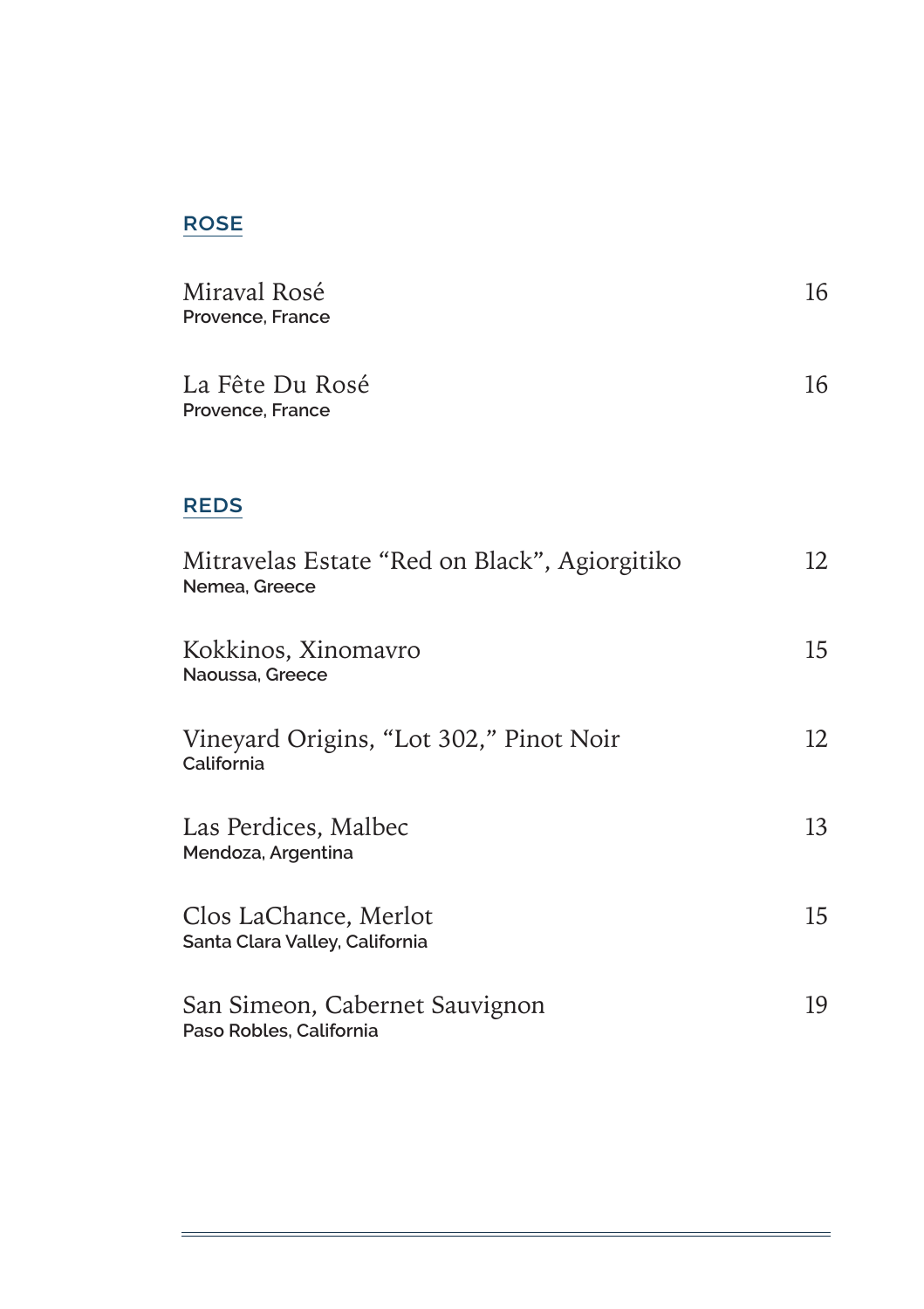#### **rose**

| Miraval Rosé<br>Provence, France                               | 16 |
|----------------------------------------------------------------|----|
| La Fête Du Rosé<br>Provence, France                            | 16 |
| <b>REDS</b>                                                    |    |
| Mitravelas Estate "Red on Black", Agiorgitiko<br>Nemea, Greece | 12 |
| Kokkinos, Xinomavro<br>Naoussa, Greece                         | 15 |
| Vineyard Origins, "Lot 302," Pinot Noir<br>California          | 12 |
| Las Perdices, Malbec<br>Mendoza, Argentina                     | 13 |
| Clos LaChance, Merlot<br>Santa Clara Valley, California        | 15 |
| San Simeon, Cabernet Sauvignon<br>Paso Robles, California      | 19 |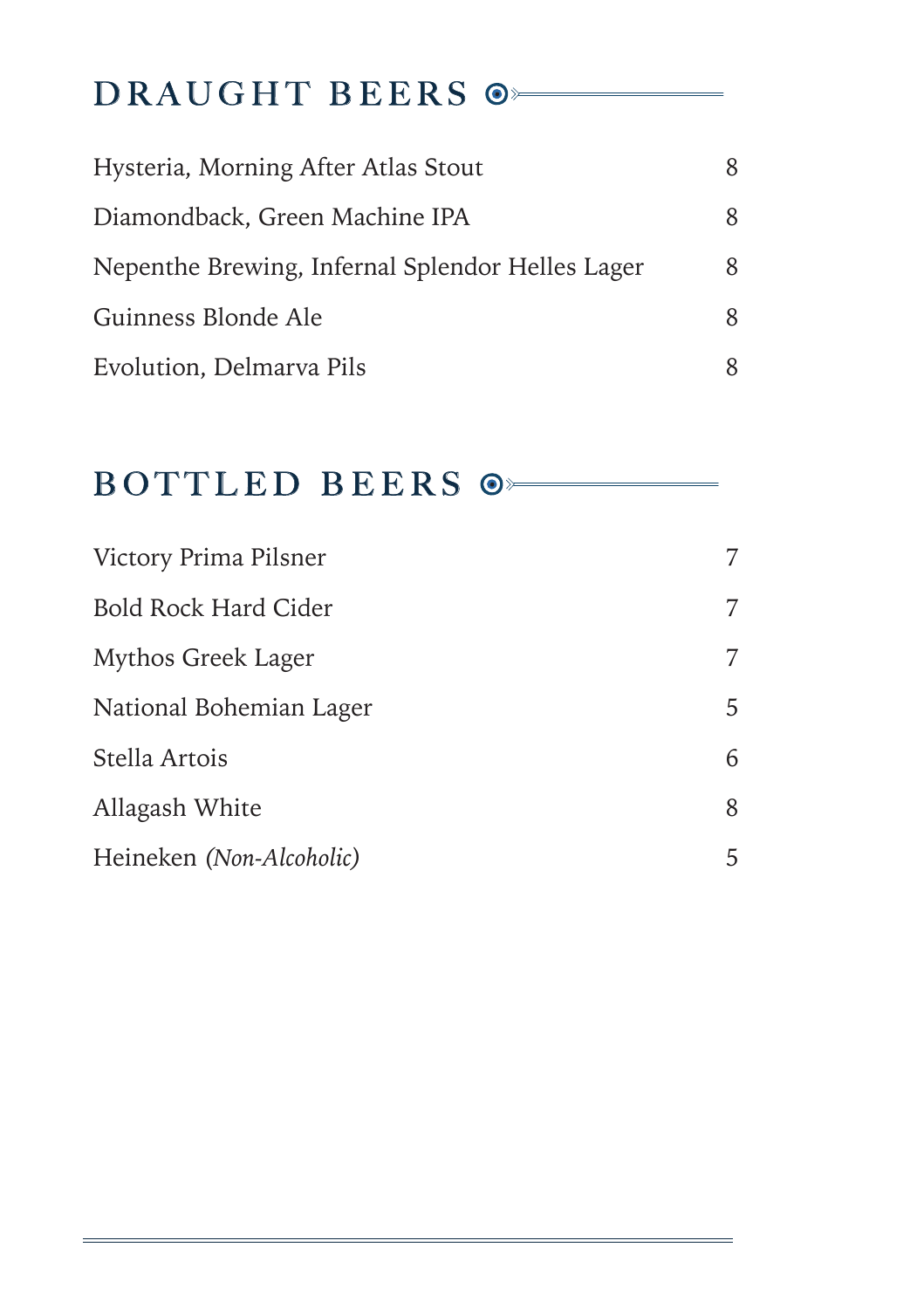## DRAUGHT BEERS  $\circ$

| Hysteria, Morning After Atlas Stout              | 8 |
|--------------------------------------------------|---|
| Diamondback, Green Machine IPA                   | 8 |
| Nepenthe Brewing, Infernal Splendor Helles Lager | 8 |
| Guinness Blonde Ale                              | 8 |
| Evolution, Delmarya Pils                         | 8 |

#### BOTTLED BEERS  $\circ$

| Victory Prima Pilsner       | 7 |
|-----------------------------|---|
| <b>Bold Rock Hard Cider</b> | 7 |
| Mythos Greek Lager          | 7 |
| National Bohemian Lager     | 5 |
| Stella Artois               | 6 |
| Allagash White              | 8 |
| Heineken (Non-Alcoholic)    | 5 |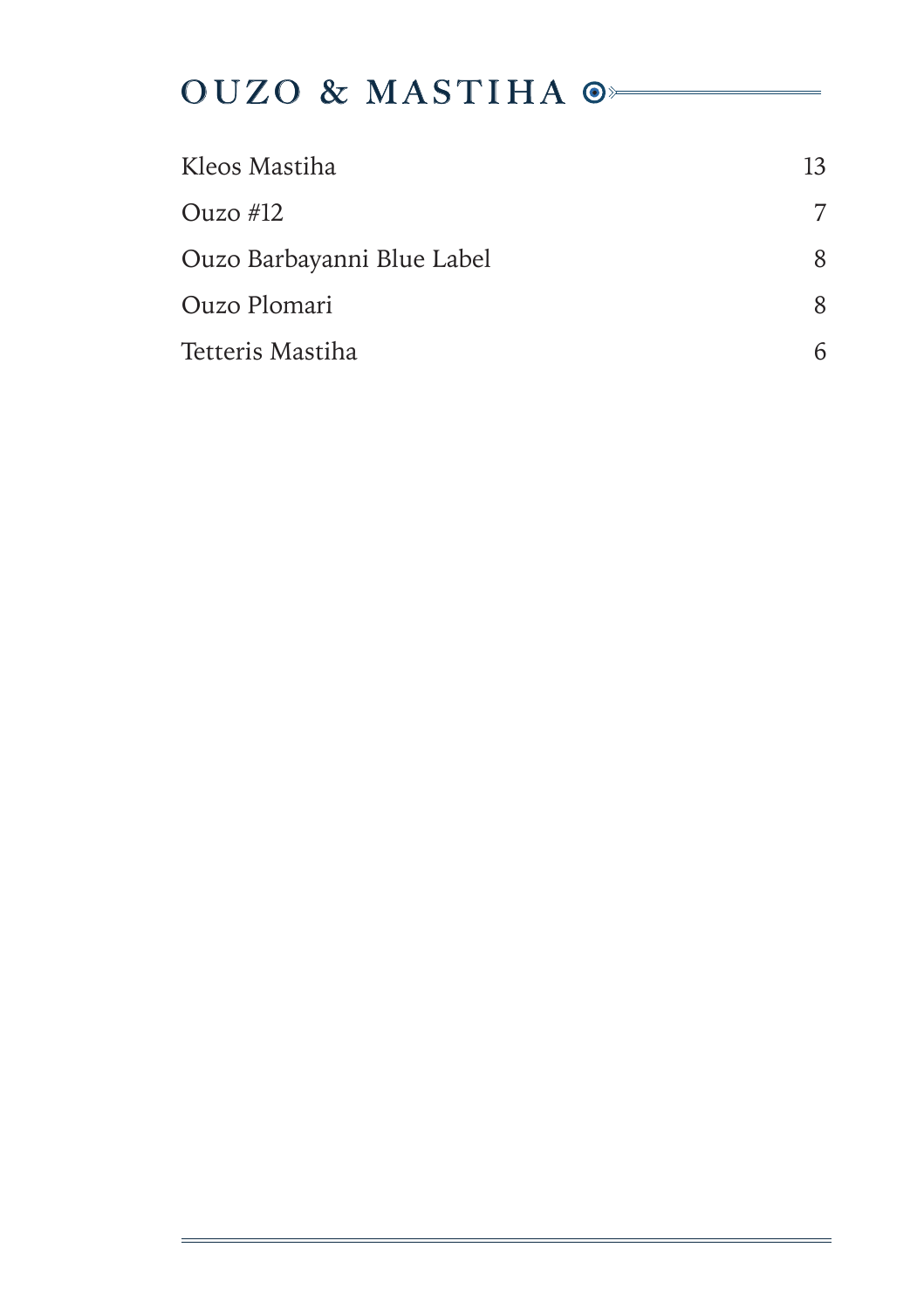## OUZO & MASTIHA  $\circ$

| Kleos Mastiha              | 13 |
|----------------------------|----|
| Ouzo $#12$                 | 7  |
| Ouzo Barbayanni Blue Label | 8  |
| Ouzo Plomari               | 8  |
| Tetteris Mastiha           |    |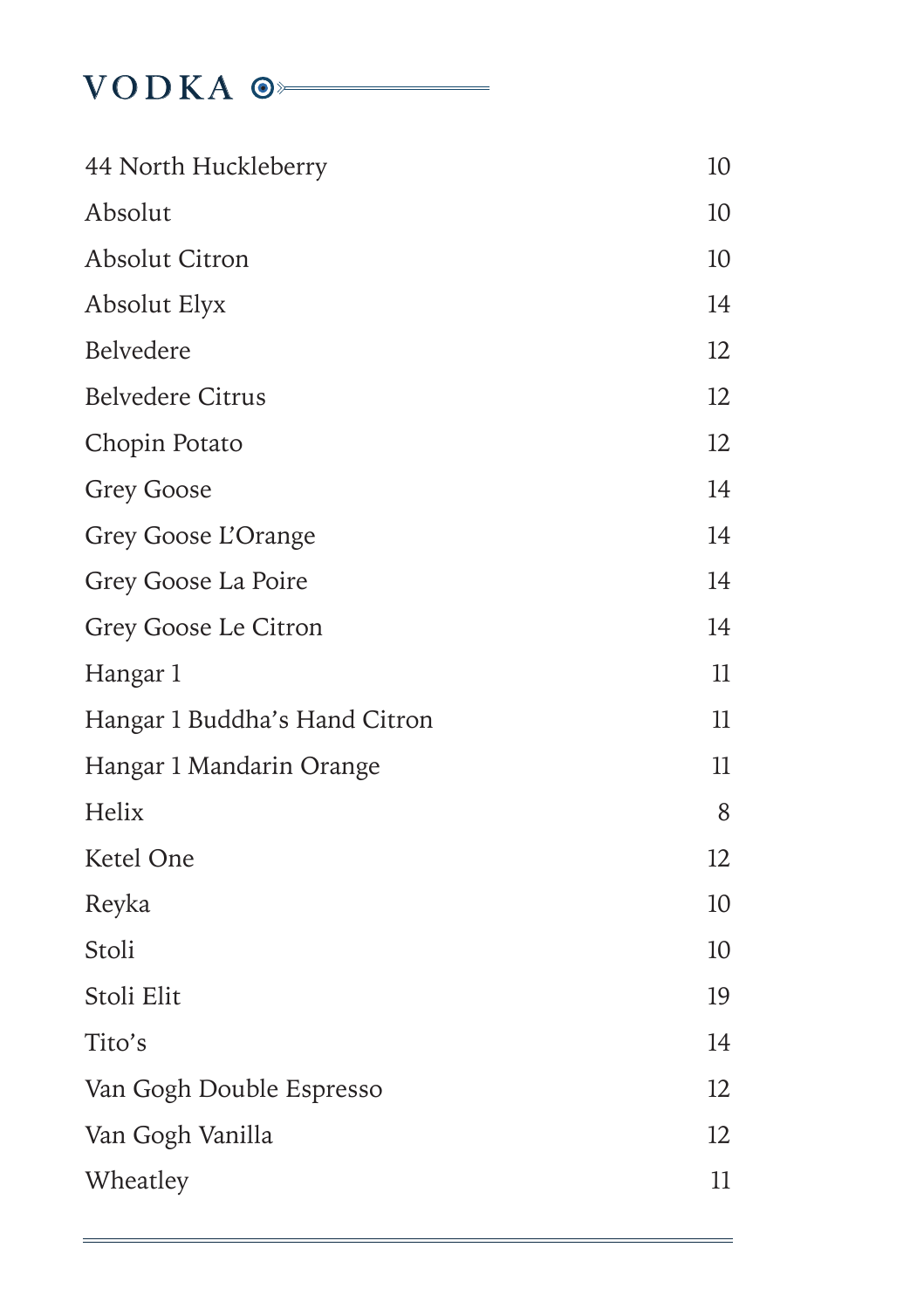#### VODKA <sup>o</sup>

| 44 North Huckleberry          | 10 |
|-------------------------------|----|
| Absolut                       | 10 |
| <b>Absolut Citron</b>         | 10 |
| Absolut Elyx                  | 14 |
| Belvedere                     | 12 |
| <b>Belvedere Citrus</b>       | 12 |
| Chopin Potato                 | 12 |
| <b>Grey Goose</b>             | 14 |
| Grey Goose L'Orange           | 14 |
| Grey Goose La Poire           | 14 |
| Grey Goose Le Citron          | 14 |
| Hangar 1                      | 11 |
| Hangar 1 Buddha's Hand Citron | 11 |
| Hangar 1 Mandarin Orange      | 11 |
| Helix                         | 8  |
| Ketel One                     | 12 |
| Reyka                         | 10 |
| Stoli                         | 10 |
| Stoli Elit                    | 19 |
| Tito's                        | 14 |
| Van Gogh Double Espresso      | 12 |
| Van Gogh Vanilla              | 12 |
| Wheatley                      | 11 |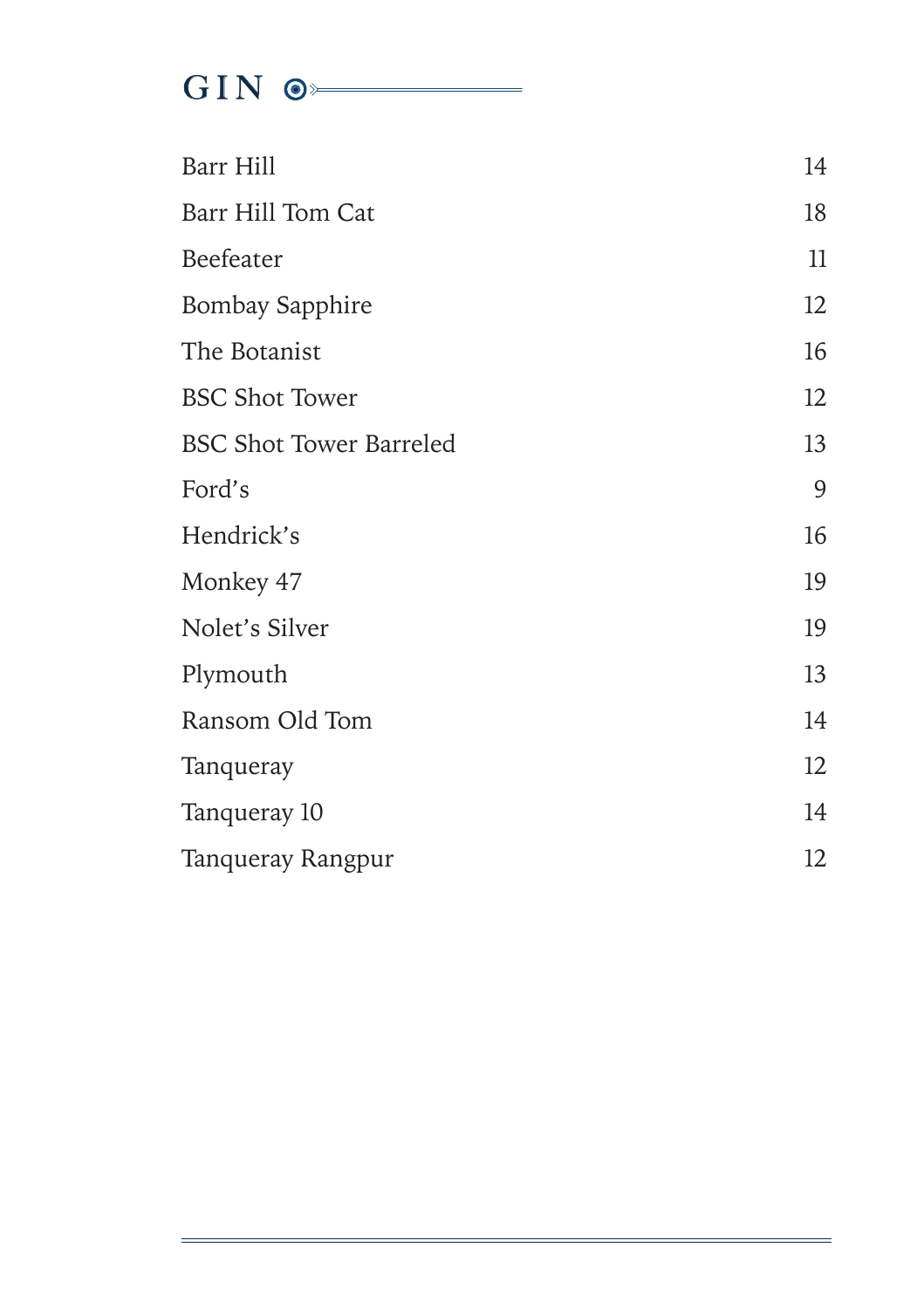# $\frac{1}{\sqrt{1-\frac{1}{2}}}\sqrt{\frac{1}{2}}$

| Barr Hill                      | 14 |
|--------------------------------|----|
| Barr Hill Tom Cat              | 18 |
| Beefeater                      | 11 |
| <b>Bombay Sapphire</b>         | 12 |
| The Botanist                   | 16 |
| <b>BSC Shot Tower</b>          | 12 |
| <b>BSC Shot Tower Barreled</b> | 13 |
| Ford's                         | 9  |
| Hendrick's                     | 16 |
| Monkey 47                      | 19 |
| Nolet's Silver                 | 19 |
| Plymouth                       | 13 |
| Ransom Old Tom                 | 14 |
| Tanqueray                      | 12 |
| Tanqueray 10                   | 14 |
| Tanqueray Rangpur              | 12 |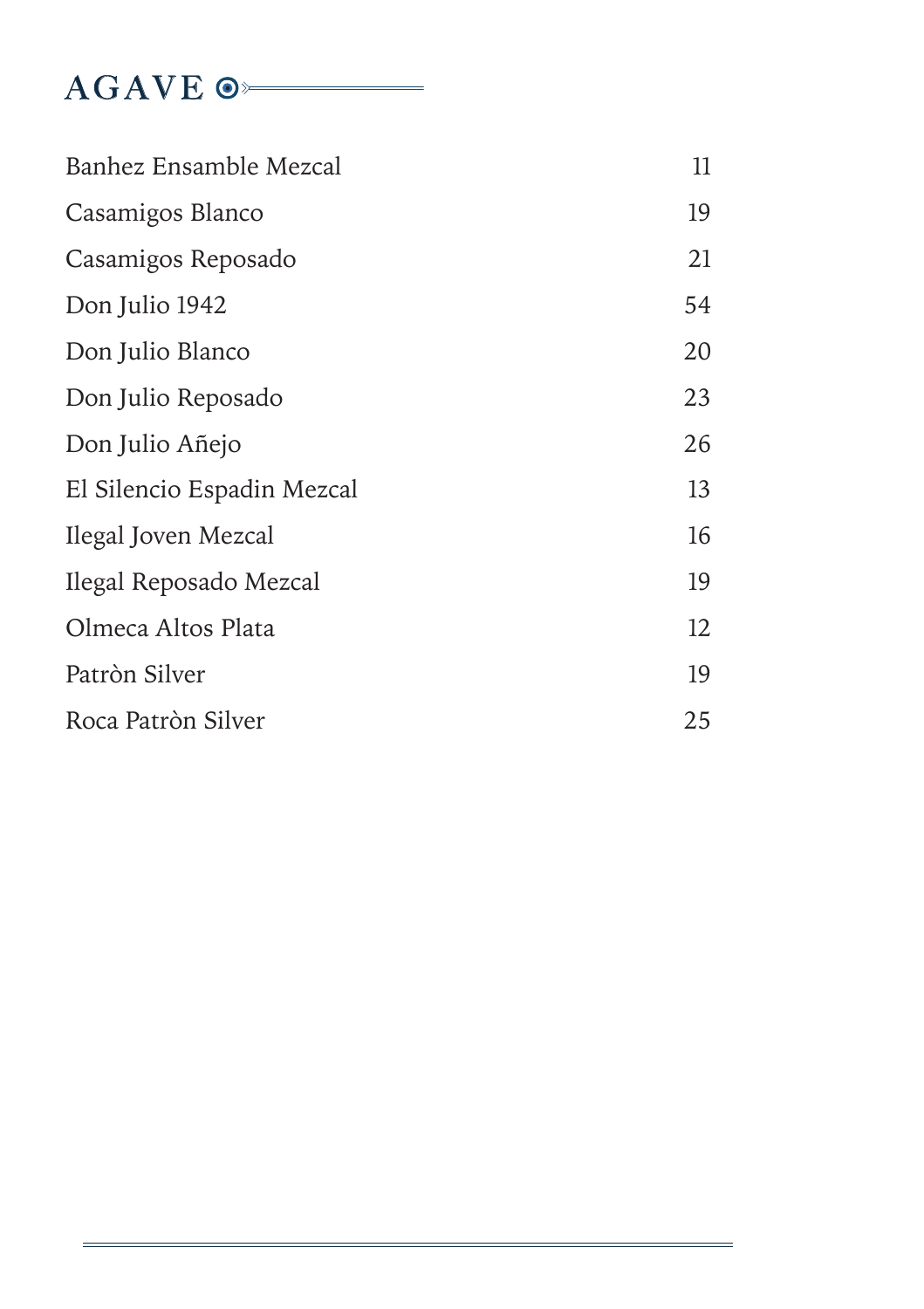### AGAVE  $\circ$

| Banhez Ensamble Mezcal     | 11 |
|----------------------------|----|
| Casamigos Blanco           | 19 |
| Casamigos Reposado         | 21 |
| Don Julio 1942             | 54 |
| Don Julio Blanco           | 20 |
| Don Julio Reposado         | 23 |
| Don Julio Añejo            | 26 |
| El Silencio Espadin Mezcal | 13 |
| Ilegal Joven Mezcal        | 16 |
| Ilegal Reposado Mezcal     | 19 |
| Olmeca Altos Plata         | 12 |
| Patròn Silver              | 19 |
| Roca Patròn Silver         | 25 |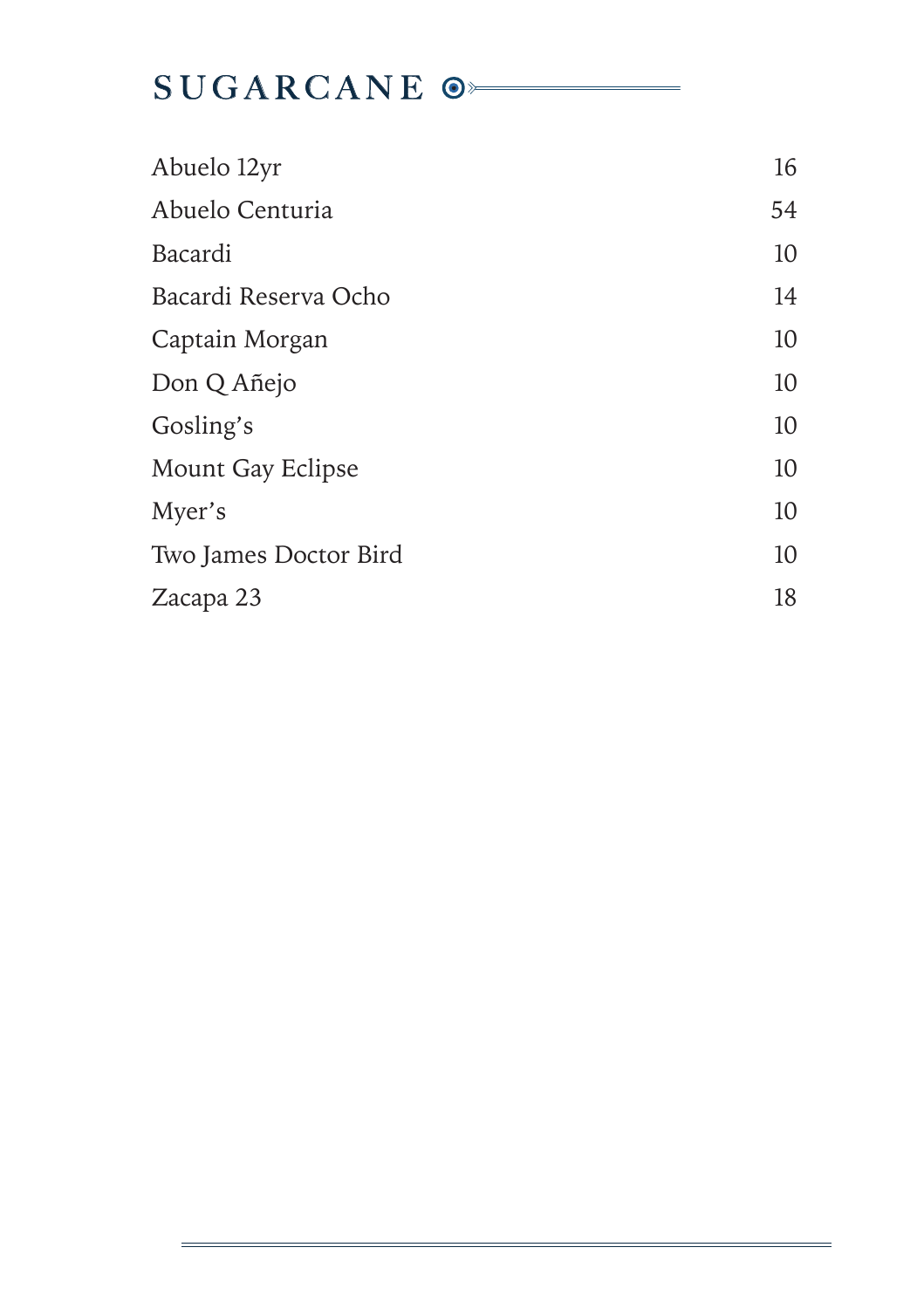## SUGARCANE<sup>®</sup>

| Abuelo 12yr           | 16 |
|-----------------------|----|
| Abuelo Centuria       | 54 |
| Bacardi               | 10 |
| Bacardi Reserva Ocho  | 14 |
| Captain Morgan        | 10 |
| Don Q Añejo           | 10 |
| Gosling's             | 10 |
| Mount Gay Eclipse     | 10 |
| Myer's                | 10 |
| Two James Doctor Bird | 10 |
| Zacapa 23             | 18 |
|                       |    |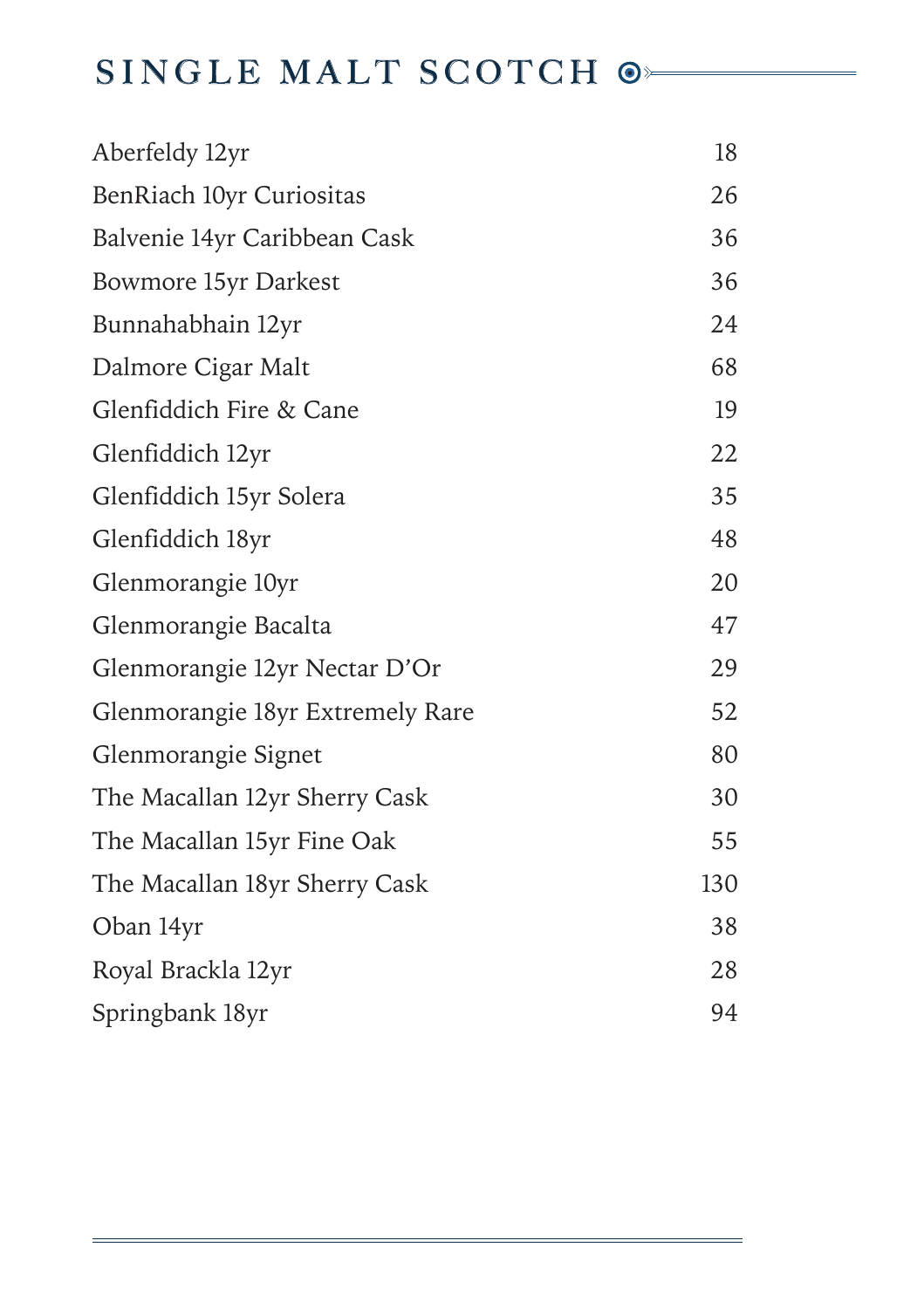## SINGLE MALT SCOTCH  $\odot$

| Aberfeldy 12yr                   | 18  |
|----------------------------------|-----|
| BenRiach 10yr Curiositas         | 26  |
| Balvenie 14yr Caribbean Cask     | 36  |
| <b>Bowmore 15yr Darkest</b>      | 36  |
| Bunnahabhain 12yr                | 24  |
| Dalmore Cigar Malt               | 68  |
| Glenfiddich Fire & Cane          | 19  |
| Glenfiddich 12yr                 | 22  |
| Glenfiddich 15yr Solera          | 35  |
| Glenfiddich 18yr                 | 48  |
| Glenmorangie 10yr                | 20  |
| Glenmorangie Bacalta             | 47  |
| Glenmorangie 12yr Nectar D'Or    | 29  |
| Glenmorangie 18yr Extremely Rare | 52  |
| Glenmorangie Signet              | 80  |
| The Macallan 12yr Sherry Cask    | 30  |
| The Macallan 15yr Fine Oak       | 55  |
| The Macallan 18yr Sherry Cask    | 130 |
| Oban 14yr                        | 38  |
| Royal Brackla 12yr               | 28  |
| Springbank 18yr                  | 94  |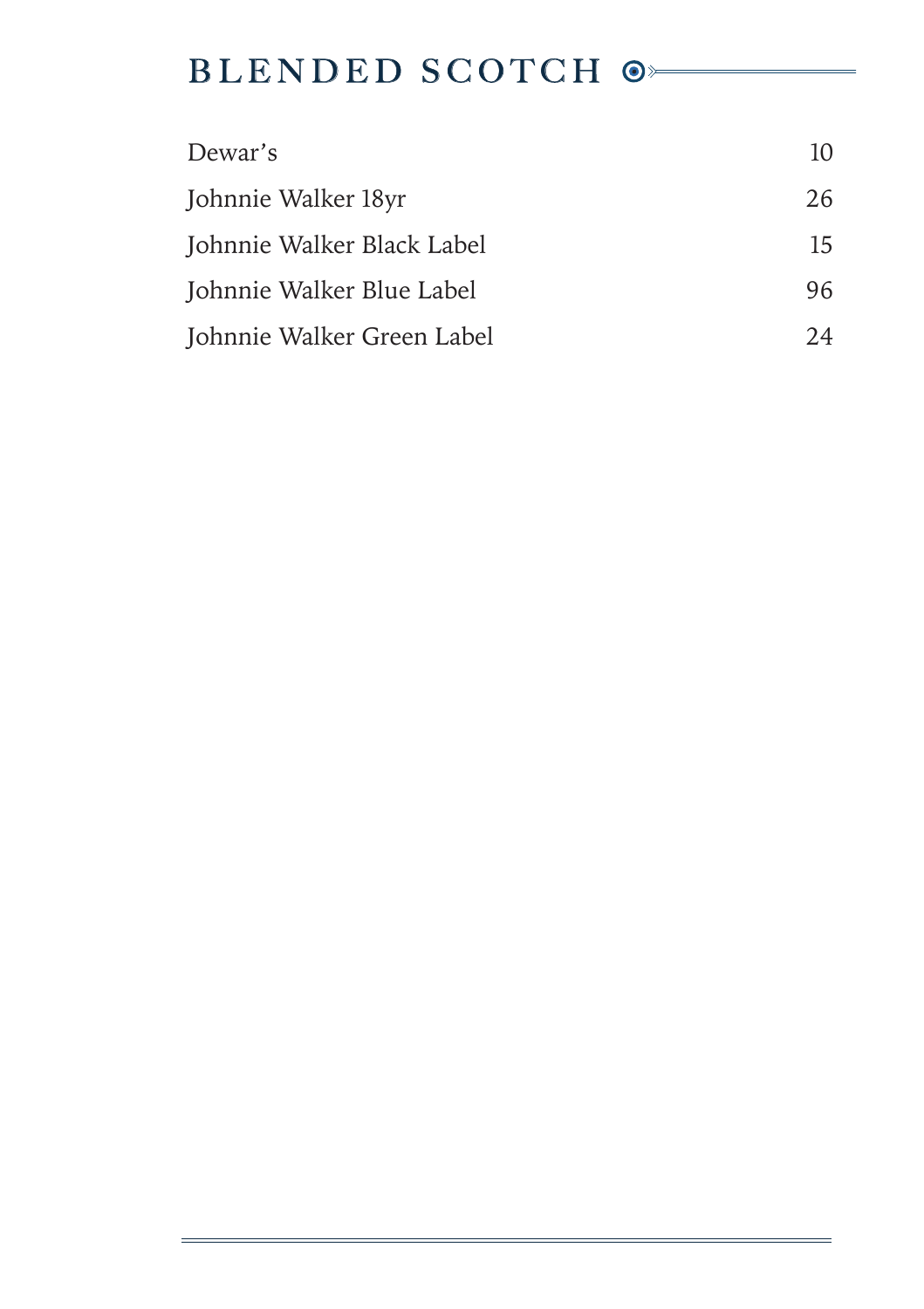## BLENDED SCOTCH  $\circ$

| Dewar's                    | 10 |
|----------------------------|----|
| Johnnie Walker 18yr        | 26 |
| Johnnie Walker Black Label | 15 |
| Johnnie Walker Blue Label  | 96 |
| Johnnie Walker Green Label | 24 |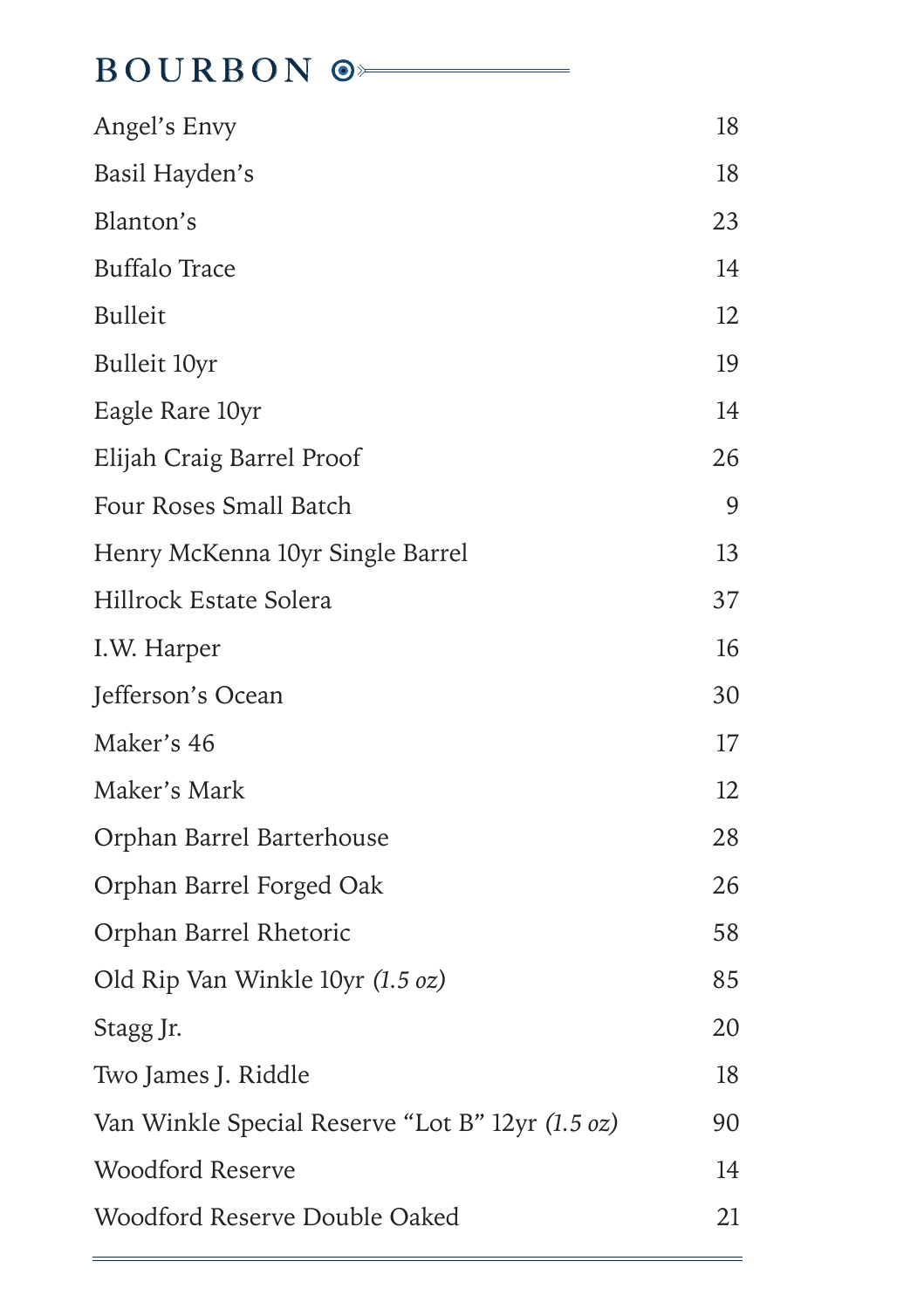## BOURBON <sup>®</sup>

| Angel's Envy                                     | 18 |
|--------------------------------------------------|----|
| Basil Hayden's                                   | 18 |
| Blanton's                                        | 23 |
| <b>Buffalo Trace</b>                             | 14 |
| <b>Bulleit</b>                                   | 12 |
| Bulleit 10yr                                     | 19 |
| Eagle Rare 10yr                                  | 14 |
| Elijah Craig Barrel Proof                        | 26 |
| Four Roses Small Batch                           | 9  |
| Henry McKenna 10yr Single Barrel                 | 13 |
| Hillrock Estate Solera                           | 37 |
| I.W. Harper                                      | 16 |
| Jefferson's Ocean                                | 30 |
| Maker's 46                                       | 17 |
| Maker's Mark                                     | 12 |
| Orphan Barrel Barterhouse                        | 28 |
| Orphan Barrel Forged Oak                         | 26 |
| Orphan Barrel Rhetoric                           | 58 |
| Old Rip Van Winkle 10yr (1.5 oz)                 | 85 |
| Stagg Jr.                                        | 20 |
| Two James J. Riddle                              | 18 |
| Van Winkle Special Reserve "Lot B" 12yr (1.5 oz) | 90 |
| <b>Woodford Reserve</b>                          | 14 |
| Woodford Reserve Double Oaked                    | 21 |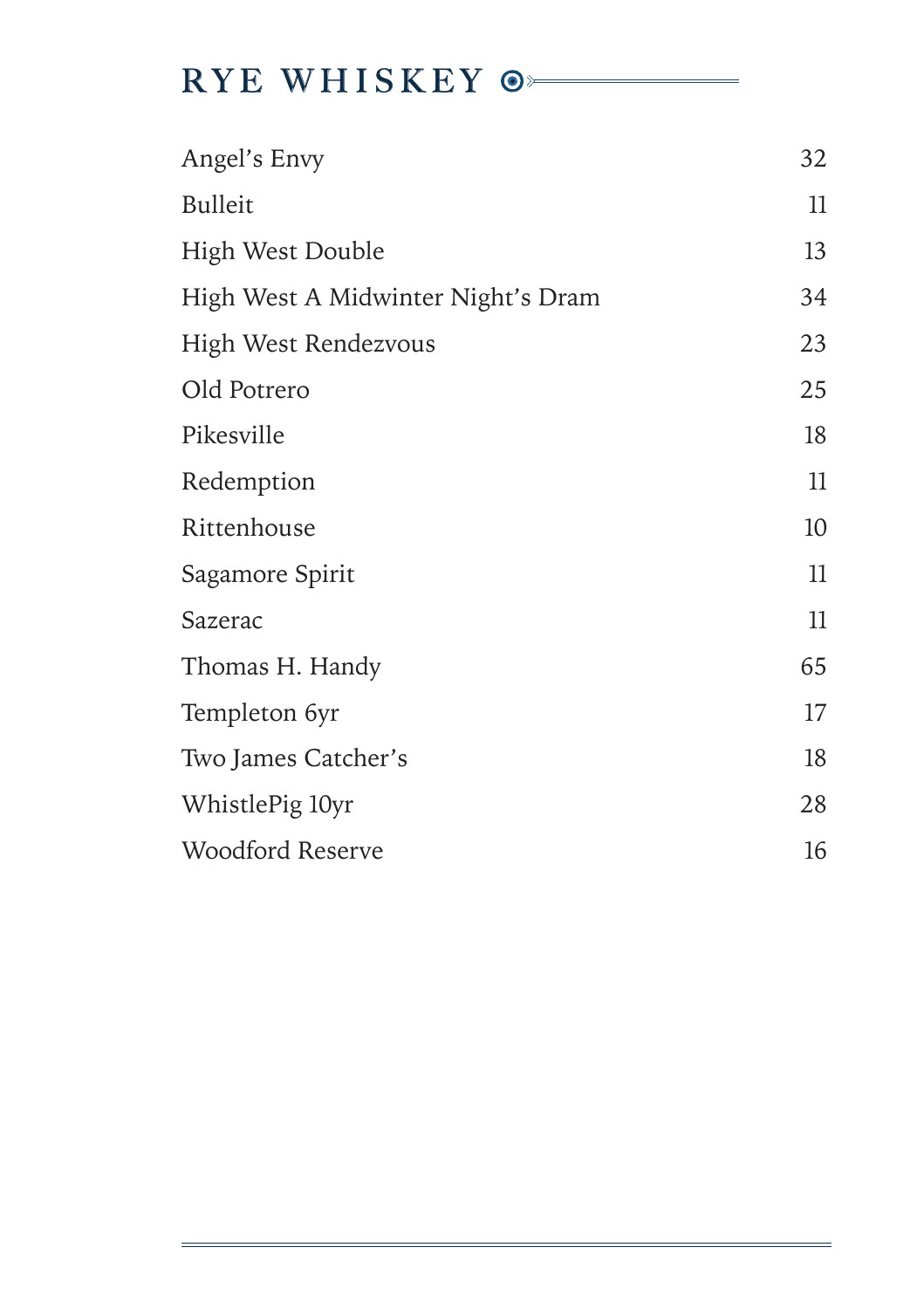## RYE WHISKEY  $\circ$

| Angel's Envy                       | 32 |
|------------------------------------|----|
| <b>Bulleit</b>                     | 11 |
| High West Double                   | 13 |
| High West A Midwinter Night's Dram | 34 |
| High West Rendezvous               | 23 |
| Old Potrero                        | 25 |
| Pikesville                         | 18 |
| Redemption                         | 11 |
| Rittenhouse                        | 10 |
| Sagamore Spirit                    | 11 |
| Sazerac                            | 11 |
| Thomas H. Handy                    | 65 |
| Templeton 6yr                      | 17 |
| Two James Catcher's                | 18 |
| WhistlePig 10yr                    | 28 |
| Woodford Reserve                   | 16 |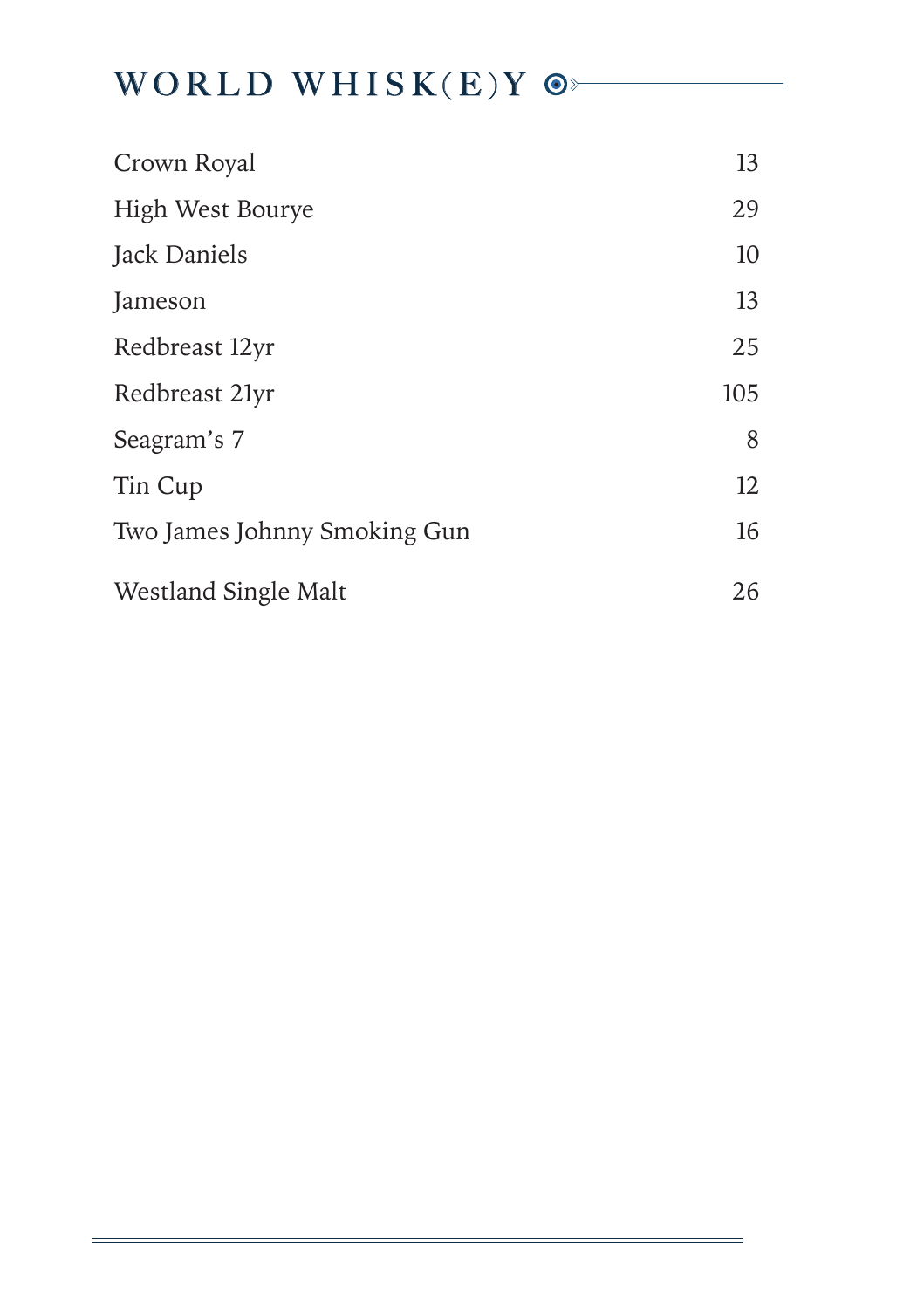## WORLD WHISK(E)Y  $\odot$

| Crown Royal                  | 13  |
|------------------------------|-----|
| High West Bourye             | 29  |
| Jack Daniels                 | 10  |
| Jameson                      | 13  |
| Redbreast 12yr               | 25  |
| Redbreast 21yr               | 105 |
| Seagram's 7                  | 8   |
| Tin Cup                      | 12  |
| Two James Johnny Smoking Gun | 16  |
| Westland Single Malt         | 26  |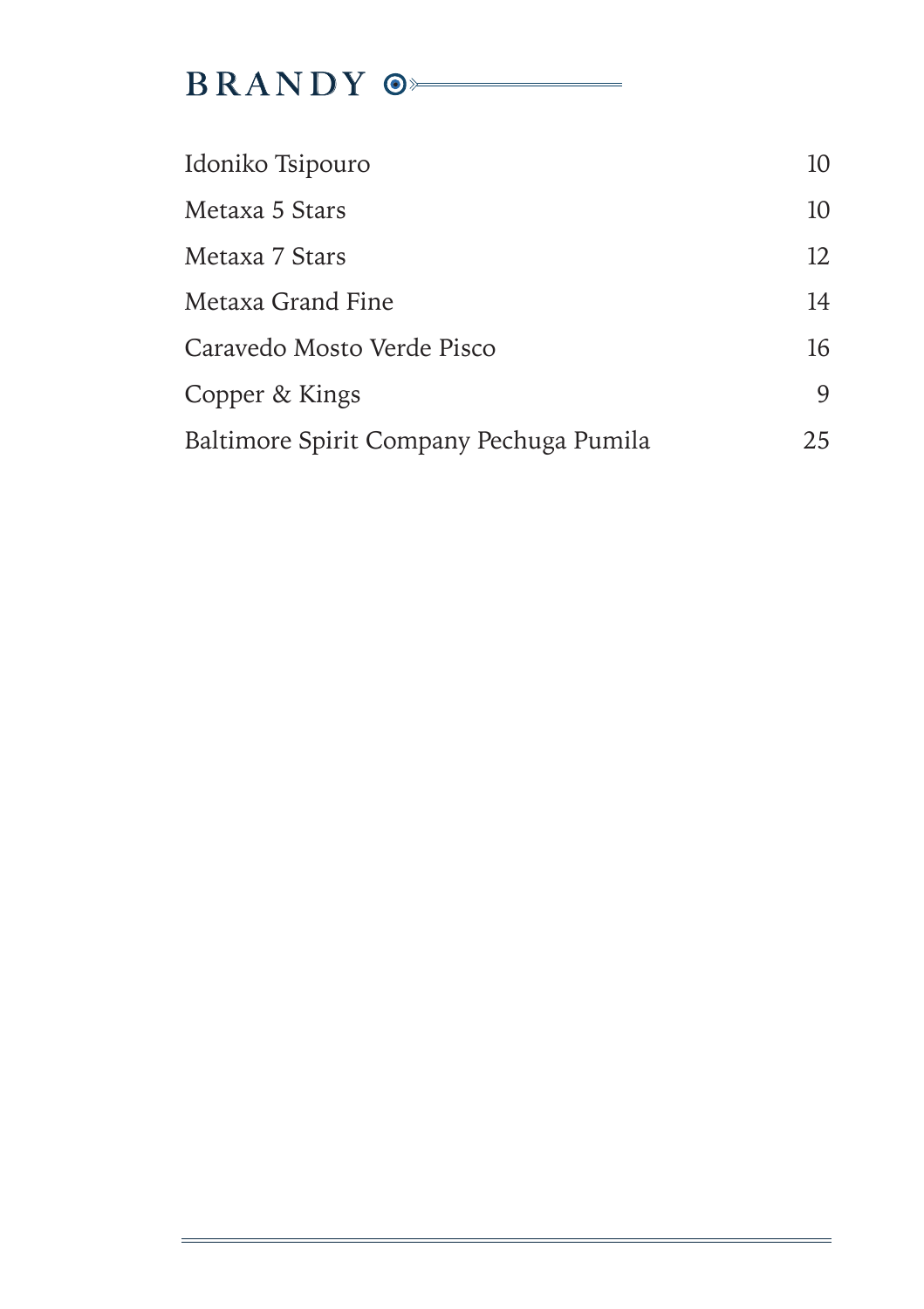# BRANDY  $\circ$

| Idoniko Tsipouro                        | 10 |
|-----------------------------------------|----|
| Metaxa 5 Stars                          | 10 |
| Metaxa 7 Stars                          | 12 |
| Metaxa Grand Fine                       | 14 |
| Caravedo Mosto Verde Pisco              | 16 |
| Copper & Kings                          | 9  |
| Baltimore Spirit Company Pechuga Pumila | 25 |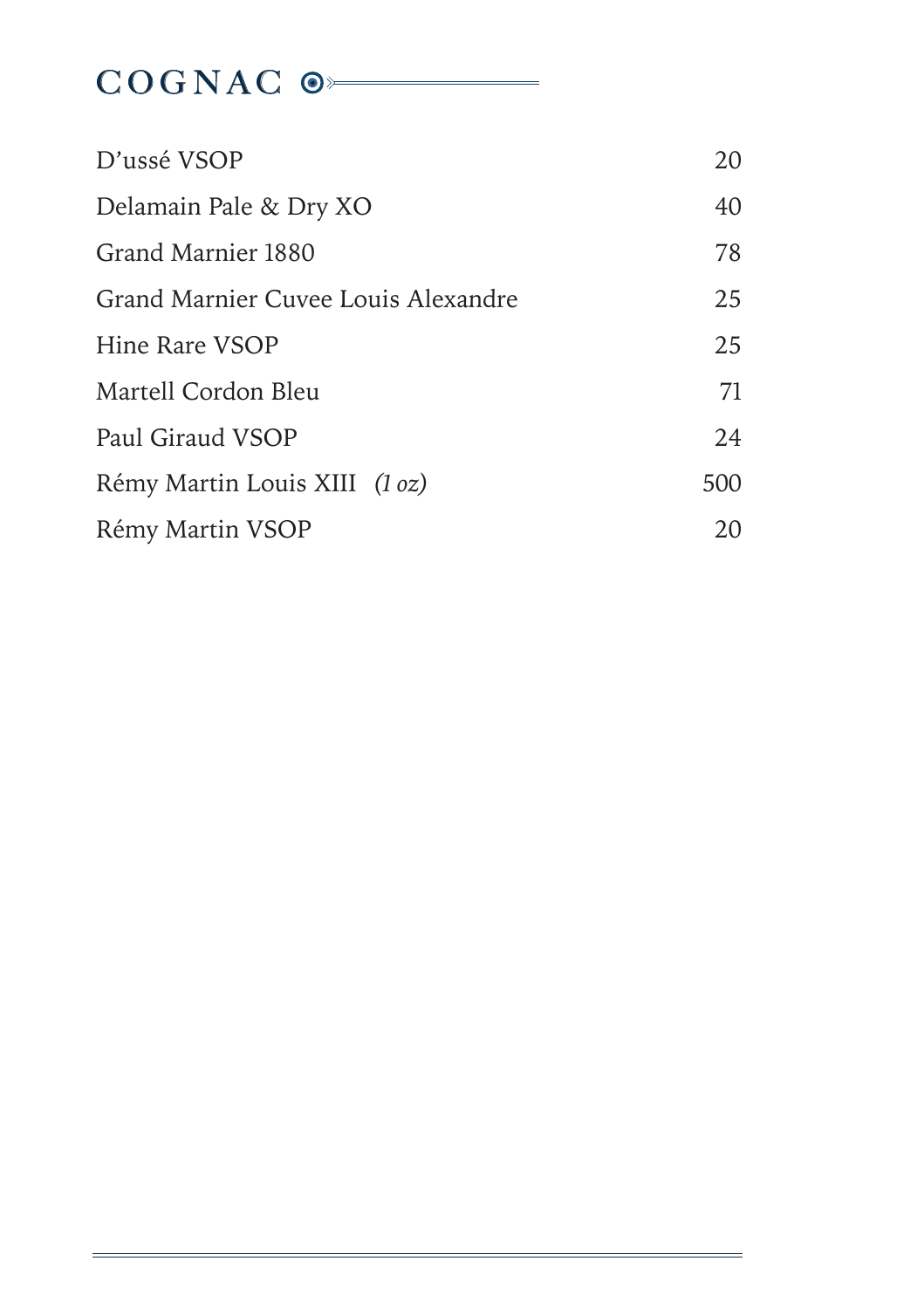# COGNAC<sup>O</sup>

| D'ussé VSOP                         | 20  |
|-------------------------------------|-----|
| Delamain Pale & Dry XO              | 40  |
| Grand Marnier 1880                  | 78  |
| Grand Marnier Cuvee Louis Alexandre | 25  |
| Hine Rare VSOP                      | 25  |
| Martell Cordon Bleu                 | 71  |
| Paul Giraud VSOP                    | 24  |
| Rémy Martin Louis XIII (1 oz)       | 500 |
| Rémy Martin VSOP                    | 20  |